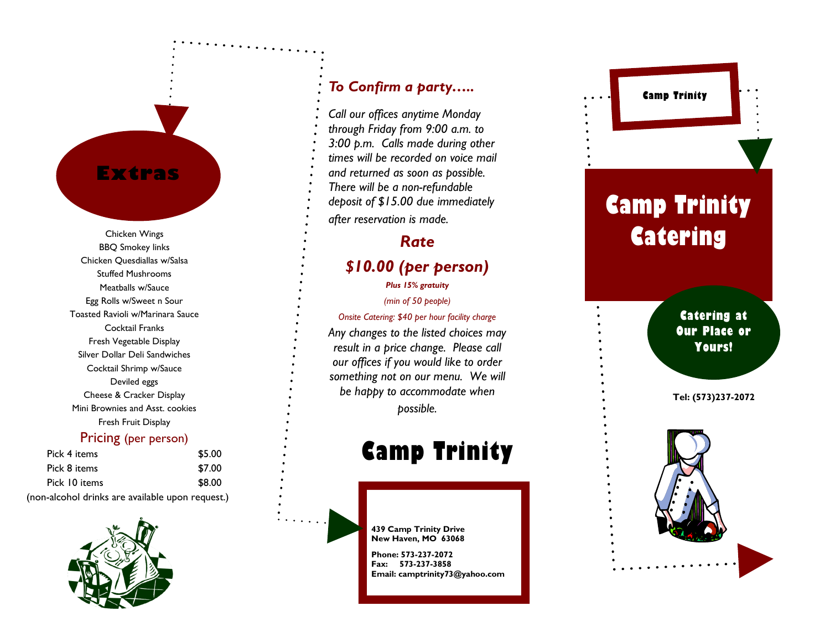### Extras

Chicken Wings BBQ Smokey links Chicken Quesdiallas w/Salsa Stuffed Mushrooms Meatballs w/Sauce Egg Rolls w/Sweet n Sour Toasted Ravioli w/Marinara Sauce Cocktail Franks Fresh Vegetable Display Silver Dollar Deli Sandwiches Cocktail Shrimp w/Sauce Deviled eggs Cheese & Cracker Display Mini Brownies and Asst. cookies Fresh Fruit Display

#### Pricing (per person)

| Pick 4 items                                     | \$5.00 |
|--------------------------------------------------|--------|
| Pick 8 items                                     | \$7.00 |
| Pick 10 items                                    | \$8.00 |
| (non-alcohol drinks are available upon request.) |        |



#### To Confirm a party…..

Call our offices anytime Monday through Friday from 9:00 a.m. to 3:00 p.m. Calls made during other times will be recorded on voice mail and returned as soon as possible. There will be a non -refundable deposit of \$15.00 due immediately after reservation is made.

### Rate

#### \$10.00 (per person) Plus 15% gratuity

(min of 50 people)

Onsite Catering: \$40 per hour facility charge Any changes to the listed choices may result in a price change. Please call our offices if you would like to order something not on our menu. We will be happy to accommodate when possible.

## Camp Trinity

439 Camp Trinity Drive New Haven, MO 63068

Phone: 573 -237 -2072 Fax: 573 -237 -3858 Email: camptrinity73@yahoo.com

# Camp Trinity **Catering**

Camp Trinity

Catering at Our Place or Yours!

Tel: (573)237 -2072